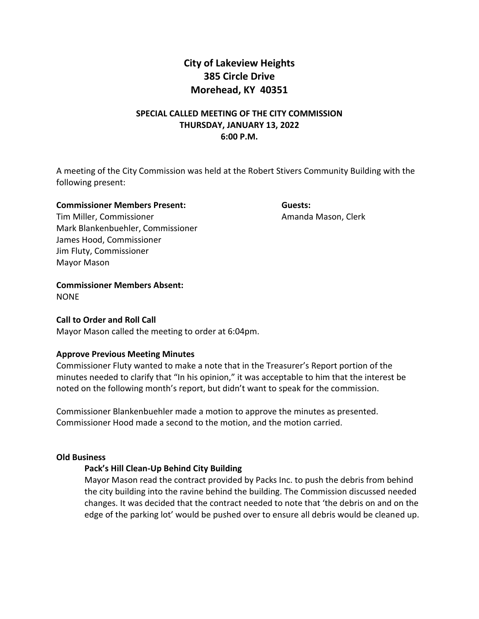# **City of Lakeview Heights 385 Circle Drive Morehead, KY 40351**

# **SPECIAL CALLED MEETING OF THE CITY COMMISSION THURSDAY, JANUARY 13, 2022 6:00 P.M.**

A meeting of the City Commission was held at the Robert Stivers Community Building with the following present:

#### **Commissioner Members Present: Guests:**

Tim Miller, Commissioner **Amanda Mason, Clerk** Amanda Mason, Clerk Mark Blankenbuehler, Commissioner James Hood, Commissioner Jim Fluty, Commissioner Mayor Mason

**Commissioner Members Absent:** 

NONE

# **Call to Order and Roll Call**

Mayor Mason called the meeting to order at 6:04pm.

# **Approve Previous Meeting Minutes**

Commissioner Fluty wanted to make a note that in the Treasurer's Report portion of the minutes needed to clarify that "In his opinion," it was acceptable to him that the interest be noted on the following month's report, but didn't want to speak for the commission.

Commissioner Blankenbuehler made a motion to approve the minutes as presented. Commissioner Hood made a second to the motion, and the motion carried.

### **Old Business**

# **Pack's Hill Clean-Up Behind City Building**

Mayor Mason read the contract provided by Packs Inc. to push the debris from behind the city building into the ravine behind the building. The Commission discussed needed changes. It was decided that the contract needed to note that 'the debris on and on the edge of the parking lot' would be pushed over to ensure all debris would be cleaned up.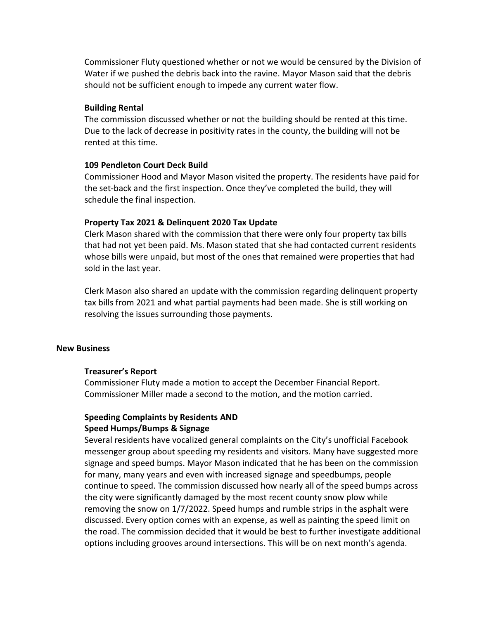Commissioner Fluty questioned whether or not we would be censured by the Division of Water if we pushed the debris back into the ravine. Mayor Mason said that the debris should not be sufficient enough to impede any current water flow.

#### **Building Rental**

The commission discussed whether or not the building should be rented at this time. Due to the lack of decrease in positivity rates in the county, the building will not be rented at this time.

### **109 Pendleton Court Deck Build**

Commissioner Hood and Mayor Mason visited the property. The residents have paid for the set-back and the first inspection. Once they've completed the build, they will schedule the final inspection.

### **Property Tax 2021 & Delinquent 2020 Tax Update**

Clerk Mason shared with the commission that there were only four property tax bills that had not yet been paid. Ms. Mason stated that she had contacted current residents whose bills were unpaid, but most of the ones that remained were properties that had sold in the last year.

Clerk Mason also shared an update with the commission regarding delinquent property tax bills from 2021 and what partial payments had been made. She is still working on resolving the issues surrounding those payments.

#### **New Business**

#### **Treasurer's Report**

Commissioner Fluty made a motion to accept the December Financial Report. Commissioner Miller made a second to the motion, and the motion carried.

### **Speeding Complaints by Residents AND Speed Humps/Bumps & Signage**

Several residents have vocalized general complaints on the City's unofficial Facebook messenger group about speeding my residents and visitors. Many have suggested more signage and speed bumps. Mayor Mason indicated that he has been on the commission for many, many years and even with increased signage and speedbumps, people continue to speed. The commission discussed how nearly all of the speed bumps across the city were significantly damaged by the most recent county snow plow while removing the snow on 1/7/2022. Speed humps and rumble strips in the asphalt were discussed. Every option comes with an expense, as well as painting the speed limit on the road. The commission decided that it would be best to further investigate additional options including grooves around intersections. This will be on next month's agenda.